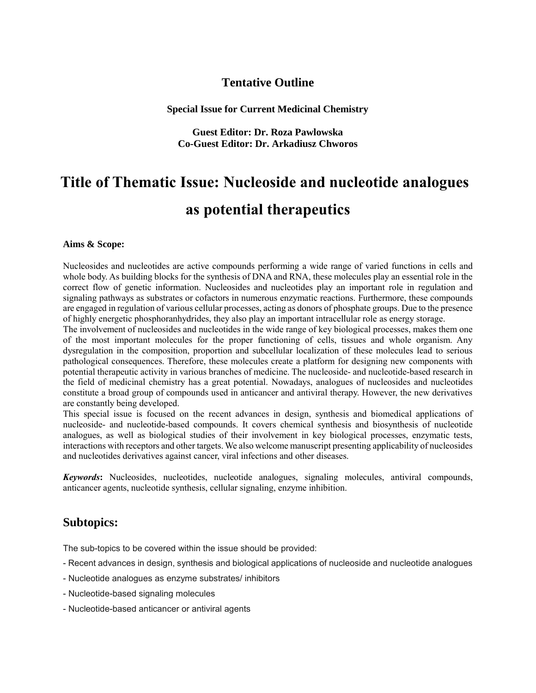## **Tentative Outline**

**Special Issue for Current Medicinal Chemistry**

**Guest Editor: Dr. Roza Pawlowska Co-Guest Editor: Dr. Arkadiusz Chworos**

# **Title of Thematic Issue: Nucleoside and nucleotide analogues as potential therapeutics**

#### **Aims & Scope:**

Nucleosides and nucleotides are active compounds performing a wide range of varied functions in cells and whole body. As building blocks for the synthesis of DNA and RNA, these molecules play an essential role in the correct flow of genetic information. Nucleosides and nucleotides play an important role in regulation and signaling pathways as substrates or cofactors in numerous enzymatic reactions. Furthermore, these compounds are engaged in regulation of various cellular processes, acting as donors of phosphate groups. Due to the presence of highly energetic phosphoranhydrides, they also play an important intracellular role as energy storage.

The involvement of nucleosides and nucleotides in the wide range of key biological processes, makes them one of the most important molecules for the proper functioning of cells, tissues and whole organism. Any dysregulation in the composition, proportion and subcellular localization of these molecules lead to serious pathological consequences. Therefore, these molecules create a platform for designing new components with potential therapeutic activity in various branches of medicine. The nucleoside- and nucleotide-based research in the field of medicinal chemistry has a great potential. Nowadays, analogues of nucleosides and nucleotides constitute a broad group of compounds used in anticancer and antiviral therapy. However, the new derivatives are constantly being developed.

This special issue is focused on the recent advances in design, synthesis and biomedical applications of nucleoside- and nucleotide-based compounds. It covers chemical synthesis and biosynthesis of nucleotide analogues, as well as biological studies of their involvement in key biological processes, enzymatic tests, interactions with receptors and other targets. We also welcome manuscript presenting applicability of nucleosides and nucleotides derivatives against cancer, viral infections and other diseases.

*Keywords***:** Nucleosides, nucleotides, nucleotide analogues, signaling molecules, antiviral compounds, anticancer agents, nucleotide synthesis, cellular signaling, enzyme inhibition.

### **Subtopics:**

The sub-topics to be covered within the issue should be provided:

- Recent advances in design, synthesis and biological applications of nucleoside and nucleotide analogues
- Nucleotide analogues as enzyme substrates/ inhibitors
- Nucleotide-based signaling molecules
- Nucleotide-based anticancer or antiviral agents